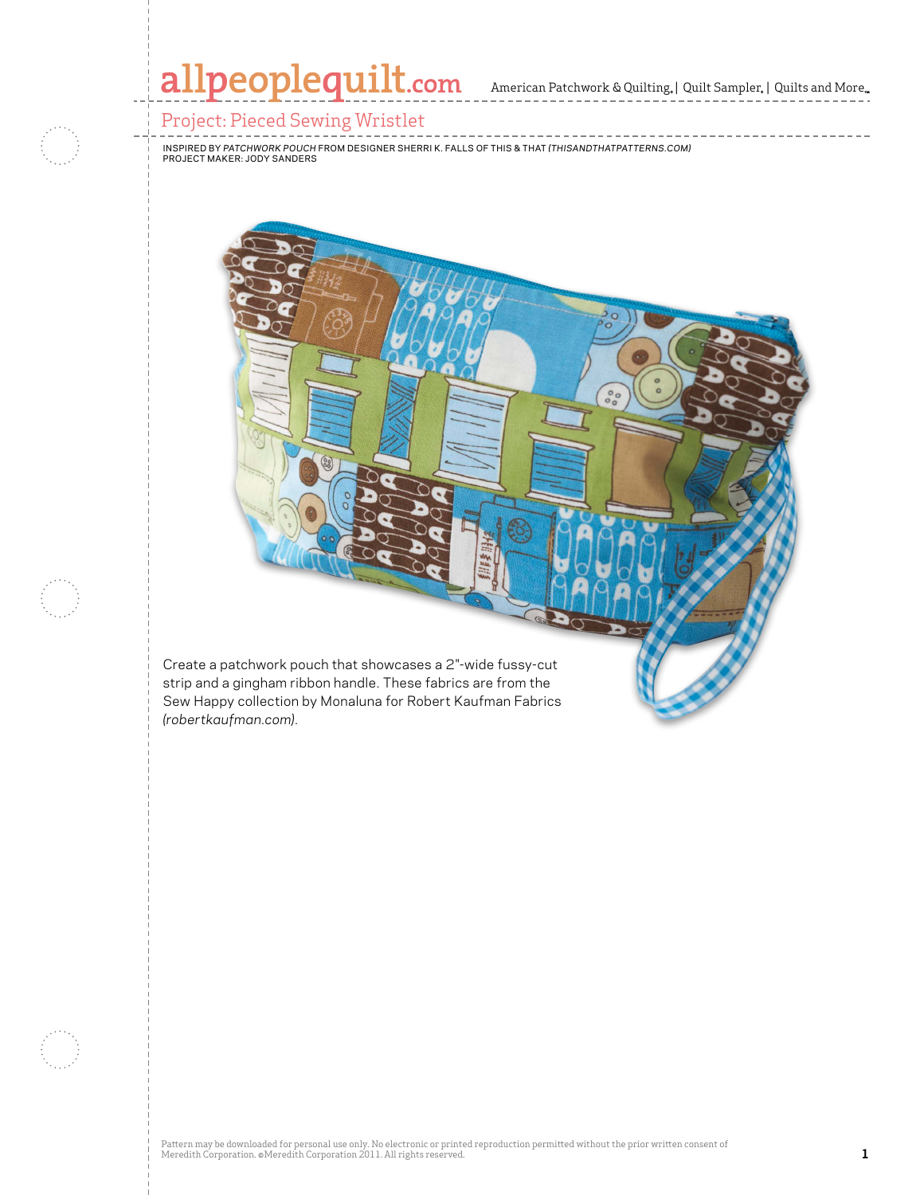## allpeoplequilt.com American Patchwork & Quilting, | Quilt Sampler, | Quilts and More..

#### Project: Pieced Sewing Wristlet

inspired by *Patchwork Pouch* from designer Sherri k. Falls of This & THat *(Thisandthatpatterns.com)* Project maker: Jody Sanders

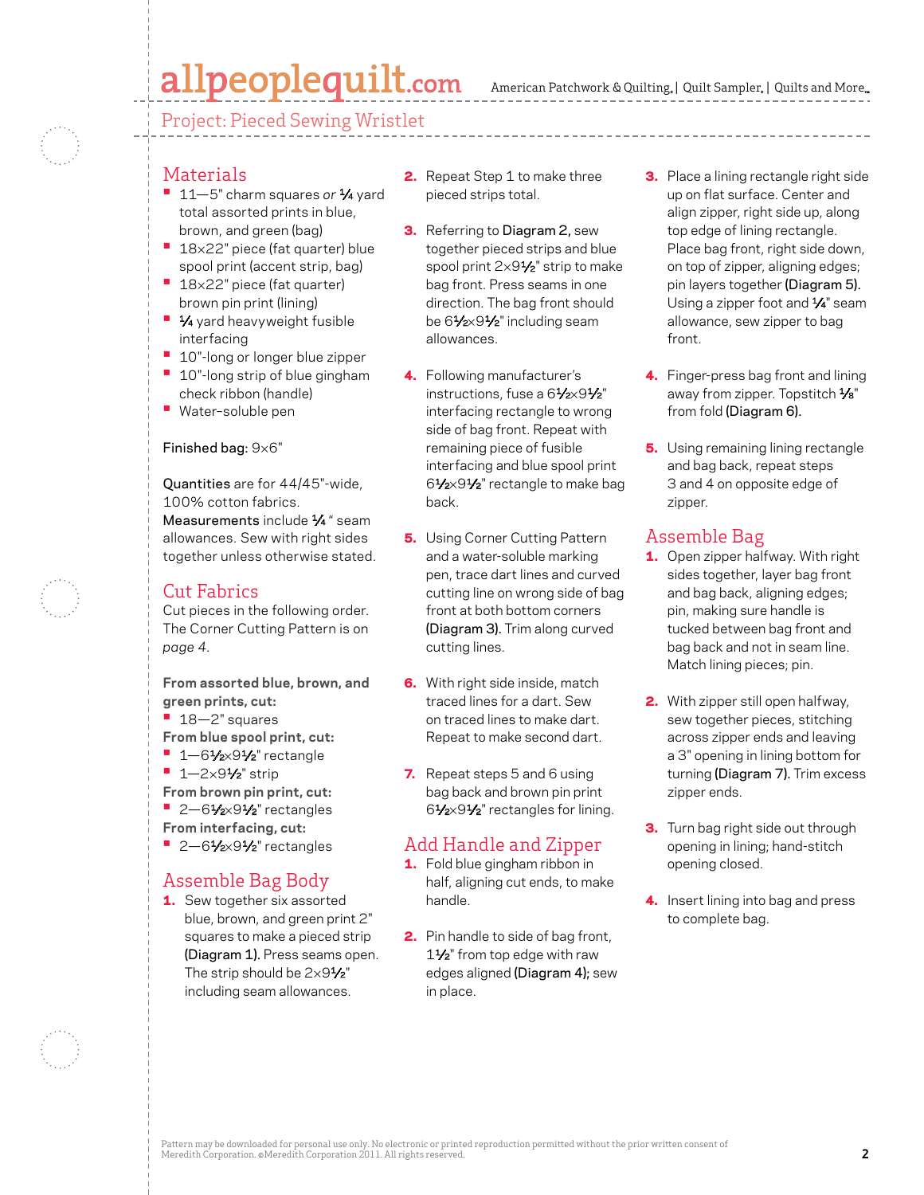## allpeoplequilt.com

American Patchwork & Quilting,  $|$  Quilt Sampler,  $|$  Quilts and More,

Project: Pieced Sewing Wristlet

#### Materials

- **<sup>•</sup>** 11-5" charm squares or  $\frac{1}{4}$  yard total assorted prints in blue, brown, and green (bag)
- 18×22" piece (fat quarter) blue spool print (accent strip, bag)
- **•**  <sup>18</sup>×22" piece (fat quarter) brown pin print (lining)
- **1⁄4** yard heavyweight fusible interfacing
- **10"-long or longer blue zipper**
- **10"-long strip of blue gingham** check ribbon (handle)
- **•**  Water–soluble pen

#### Finished bag: 9×6"

Quantities are for 44/45"-wide, 100% cotton fabrics. Measurements include 1/4 " seam allowances. Sew with right sides together unless otherwise stated.

#### Cut Fabrics

Cut pieces in the following order. The Corner Cutting Pattern is on *page 4.*

**From assorted blue, brown, and green prints, cut:**

- **•**  18—2" squares
- **From blue spool print, cut:**
- **•** 1-61/2×91/2" rectangle
- **•**  1—2×91⁄2" strip
- **From brown pin print, cut:**
- **•** 2-61⁄2×91⁄2" rectangles
- **From interfacing, cut:**
- **•** 2-61/<sub>2×</sub>91/<sub>2</sub>" rectangles

#### Assemble Bag Body

**1.** Sew together six assorted blue, brown, and green print 2" squares to make a pieced strip (Diagram 1). Press seams open. The strip should be  $2\times9\frac{1}{2}$ " including seam allowances.

- 2. Repeat Step 1 to make three pieced strips total.
- **3.** Referring to Diagram 2, sew together pieced strips and blue spool print 2×91⁄2" strip to make bag front. Press seams in one direction. The bag front should be 61/2×91/2" including seam allowances.
- 4. Following manufacturer's instructions, fuse a 61/2×91/2" interfacing rectangle to wrong side of bag front. Repeat with remaining piece of fusible interfacing and blue spool print 61⁄2×91⁄2" rectangle to make bag back.
- **5.** Using Corner Cutting Pattern and a water-soluble marking pen, trace dart lines and curved cutting line on wrong side of bag front at both bottom corners (Diagram 3). Trim along curved cutting lines.
- **6.** With right side inside, match traced lines for a dart. Sew on traced lines to make dart. Repeat to make second dart.
- 7. Repeat steps 5 and 6 using bag back and brown pin print 61⁄2×91⁄2" rectangles for lining.

#### Add Handle and Zipper

- 1. Fold blue gingham ribbon in half, aligning cut ends, to make handle.
- **2.** Pin handle to side of bag front, 11⁄2" from top edge with raw edges aligned (Diagram 4); sew in place.
- **3.** Place a lining rectangle right side up on flat surface. Center and align zipper, right side up, along top edge of lining rectangle. Place bag front, right side down, on top of zipper, aligning edges; pin layers together (Diagram 5). Using a zipper foot and  $\frac{1}{4}$ " seam allowance, sew zipper to bag front.
- 4. Finger-press bag front and lining away from zipper. Topstitch 1/8" from fold (Diagram 6).
- **5.** Using remaining lining rectangle and bag back, repeat steps 3 and 4 on opposite edge of zipper.

### Assemble Bag

- 1. Open zipper halfway. With right sides together, layer bag front and bag back, aligning edges; pin, making sure handle is tucked between bag front and bag back and not in seam line. Match lining pieces; pin.
- 2. With zipper still open halfway, sew together pieces, stitching across zipper ends and leaving a 3" opening in lining bottom for turning (Diagram 7). Trim excess zipper ends.
- **3.** Turn bag right side out through opening in lining; hand-stitch opening closed.
- 4. Insert lining into bag and press to complete bag.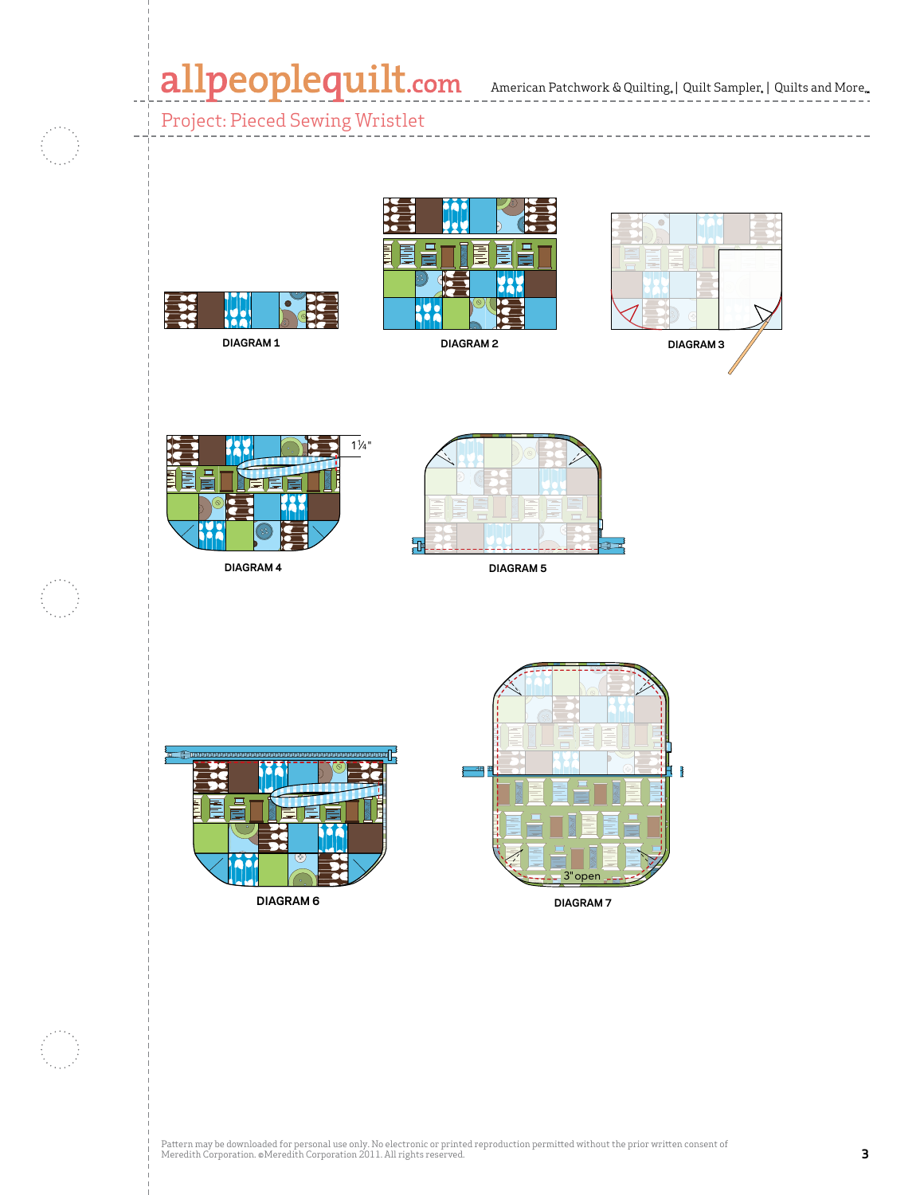American Patchwork & Quilting, | Quilt Sampler, | Quilts and More n Patchwork & C CMR 4178716

------<br>-

Project: Pieced Sewing Wristlet







**DIAGRAM 1**

**DIAGRAM 4**



**DIAGRAM 2**

**DIAGRAM 5**